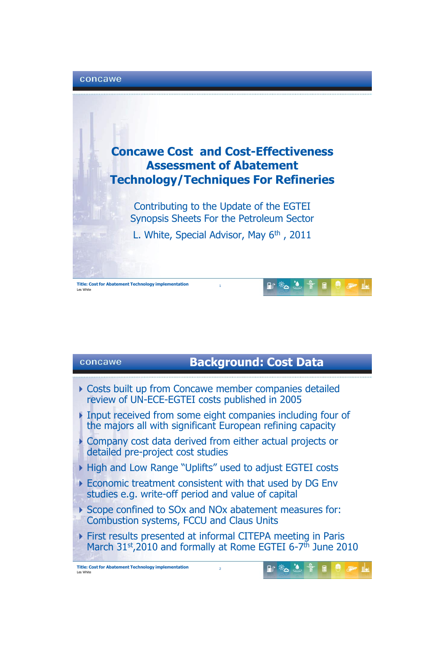

## concawe

## **Background: Cost Data**

- Costs built up from Concawe member companies detailed review of UN-ECE-EGTEI costs published in 2005
- Input received from some eight companies including four of the majors all with significant European refining capacity
- Company cost data derived from either actual projects or detailed pre-project cost studies
- ▶ High and Low Range "Uplifts" used to adjust EGTEI costs
- Economic treatment consistent with that used by DG Env studies e.g. write-off period and value of capital
- ▶ Scope confined to SOx and NOx abatement measures for: Combustion systems, FCCU and Claus Units
- First results presented at informal CITEPA meeting in Paris March 31st, 2010 and formally at Rome EGTEI 6-7<sup>th</sup> June 2010

2

 $\mathbb{R}^*$   $\mathbb{Z}$   $\mathbb{S}$   $\mathbb{B}$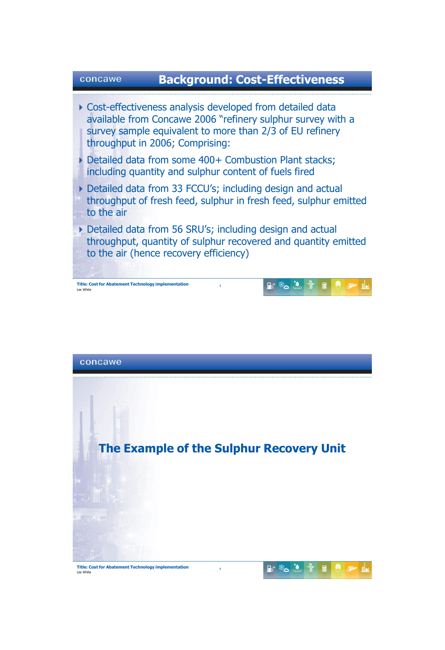



**Title: Cost for Abatement Technology implementation** Les White

### $\mathbb{R}$   $\frac{1}{2}$   $\frac{1}{2}$   $\frac{1}{2}$   $\mathbb{B}$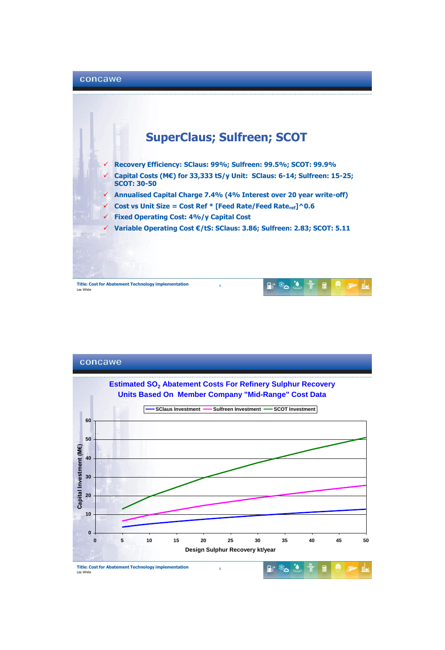

**Title: Cost for Abatement Technology implementation** Les Wh



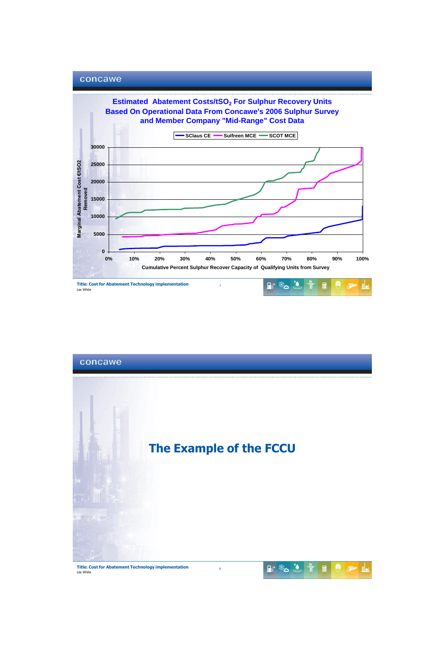



**Title: Cost for Abatement Technology implementation** Les White

#### $\begin{array}{lllllllllllllll} \mathbb{R} & \frac{1}{1+\sqrt{2}} & \frac{1}{1+\sqrt{2}} & \frac{1}{1+\sqrt{2}} & \frac{1}{1+\sqrt{2}} & \frac{1}{1+\sqrt{2}} & \frac{1}{1+\sqrt{2}} & \frac{1}{1+\sqrt{2}} & \frac{1}{1+\sqrt{2}} & \frac{1}{1+\sqrt{2}} & \frac{1}{1+\sqrt{2}} & \frac{1}{1+\sqrt{2}} & \frac{1}{1+\sqrt{2}} & \frac{1}{1+\sqrt{2}} & \frac{1}{1+\sqrt{2}} & \frac{1}{1+\sqrt{2}} & \frac{1}{1+\sqrt{2}} & \frac{1}{1+\$  $\theta$  are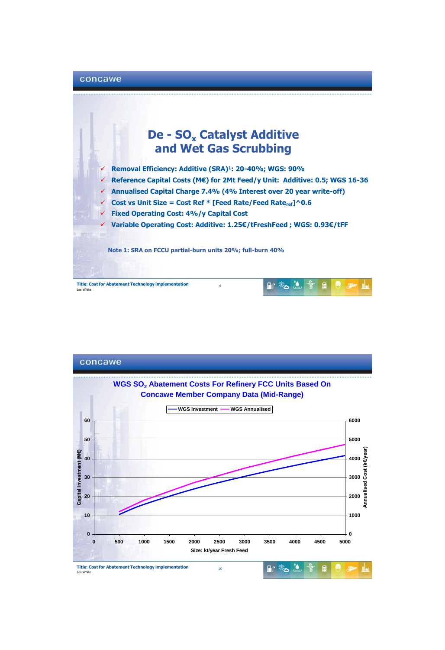

# **De - SO<sup>x</sup> Catalyst Additive and Wet Gas Scrubbing**

 **Removal Efficiency: Additive (SRA)<sup>1</sup>: 20-40%; WGS: 90% Reference Capital Costs (M€) for 2Mt Feed/y Unit: Additive: 0.5; WGS 16-36 Annualised Capital Charge 7.4% (4% Interest over 20 year write-off) Cost vs Unit Size = Cost Ref \* [Feed Rate/Feed Rateref]^0.6 Fixed Operating Cost: 4%/y Capital Cost Variable Operating Cost: Additive: 1.25€/tFreshFeed ; WGS: 0.93€/tFF Note 1: SRA on FCCU partial-burn units 20%; full-burn 40%**

9

**Title: Cost for Abatement Technology implementation** Les Wh



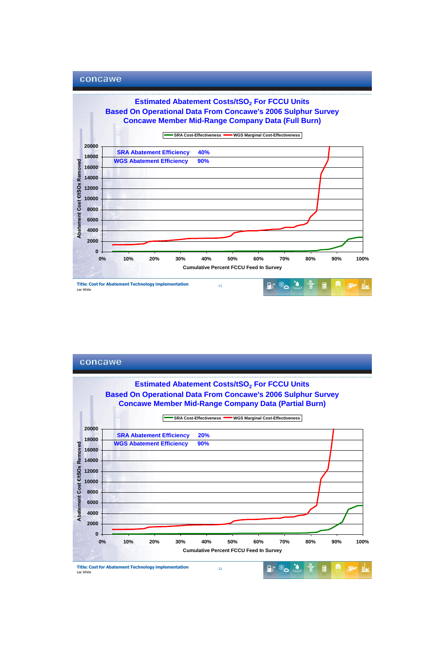



**Title: Cost for Abatement Technology implementation Les White**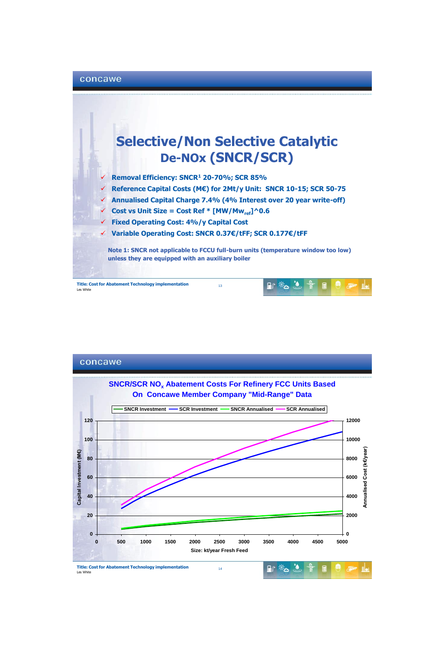### concawe



**Title: Cost for Abatement Technology implementation** Les White



**Title: Cost for Abatement Technology implementation** Les White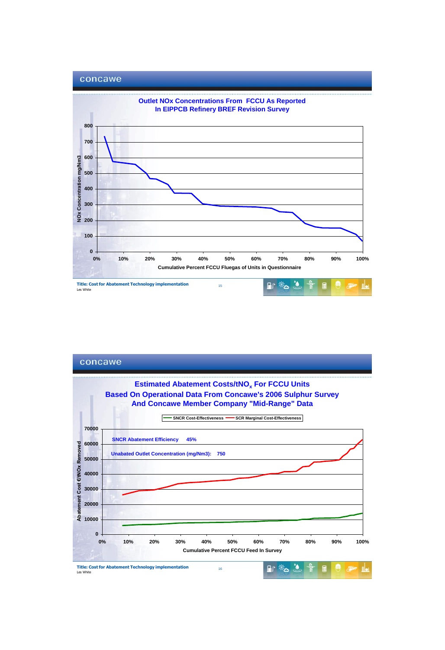



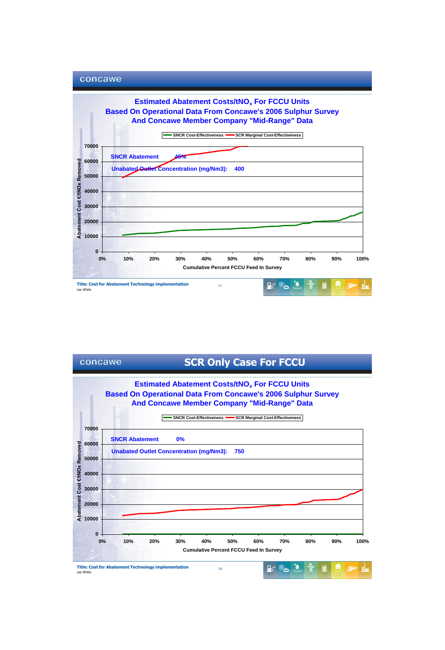

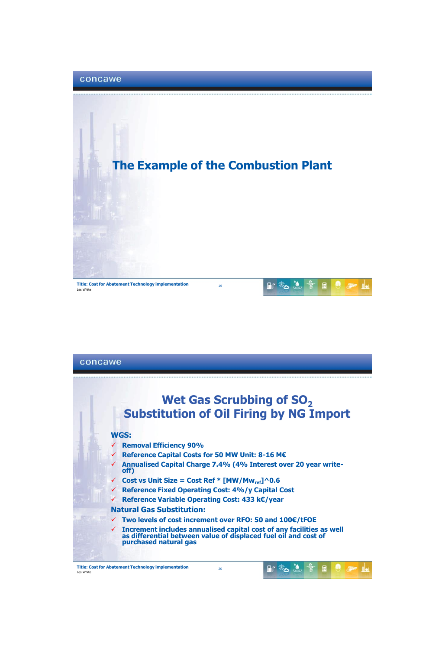

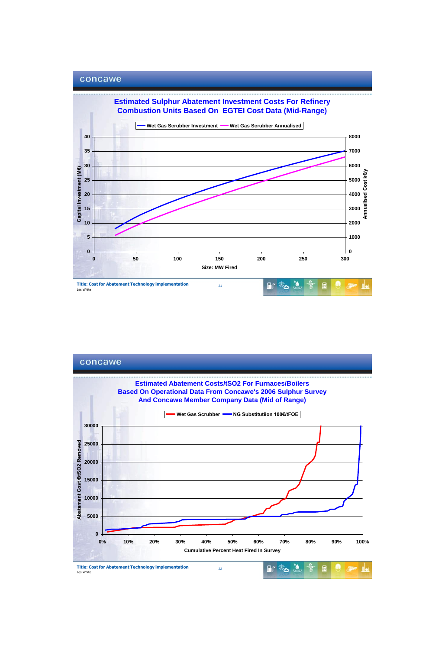

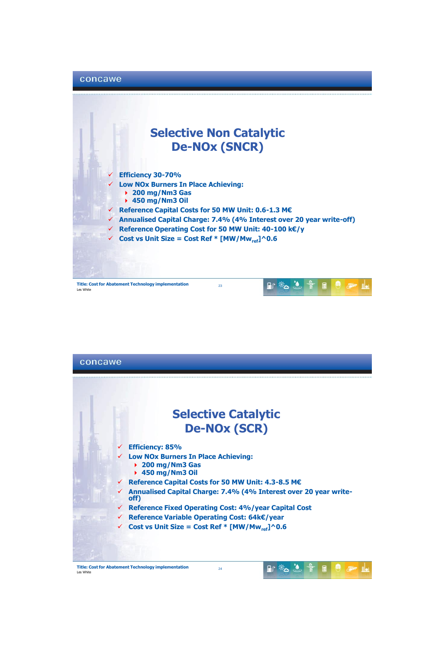

**Title: Cost for Abatement Technology implementation** Les Wh



**Title: Cost for Abatement Technology implementation Les Whit** 

24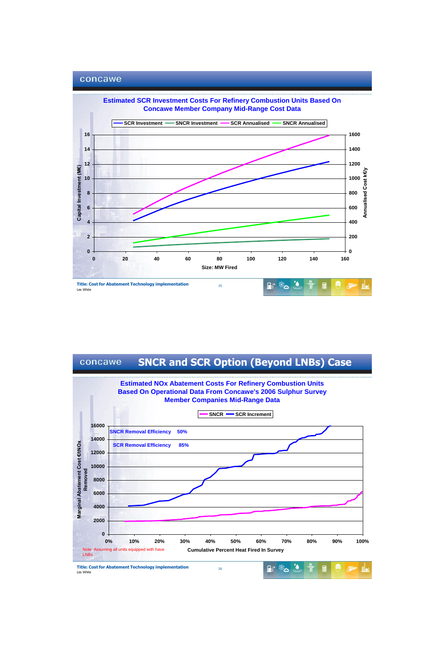